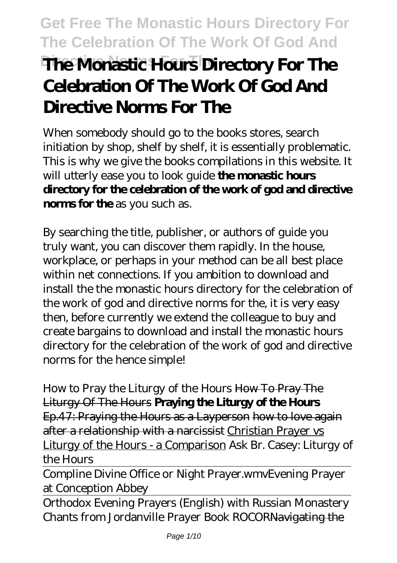# **Get Free The Monastic Hours Directory For The Celebration Of The Work Of God And Directive Norms For The The Monastic Hours Directory For The Celebration Of The Work Of God And Directive Norms For The**

When somebody should go to the books stores, search initiation by shop, shelf by shelf, it is essentially problematic. This is why we give the books compilations in this website. It will utterly ease you to look guide **the monastic hours directory for the celebration of the work of god and directive norms for the** as you such as.

By searching the title, publisher, or authors of guide you truly want, you can discover them rapidly. In the house, workplace, or perhaps in your method can be all best place within net connections. If you ambition to download and install the the monastic hours directory for the celebration of the work of god and directive norms for the, it is very easy then, before currently we extend the colleague to buy and create bargains to download and install the monastic hours directory for the celebration of the work of god and directive norms for the hence simple!

*How to Pray the Liturgy of the Hours* How To Pray The Liturgy Of The Hours **Praying the Liturgy of the Hours** Ep.47: Praying the Hours as a Layperson how to love again after a relationship with a narcissist Christian Prayer vs Liturgy of the Hours - a Comparison *Ask Br. Casey: Liturgy of the Hours*

Compline Divine Office or Night Prayer.wmv*Evening Prayer at Conception Abbey*

Orthodox Evening Prayers (English) with Russian Monastery Chants from Jordanville Prayer Book ROCORNavigating the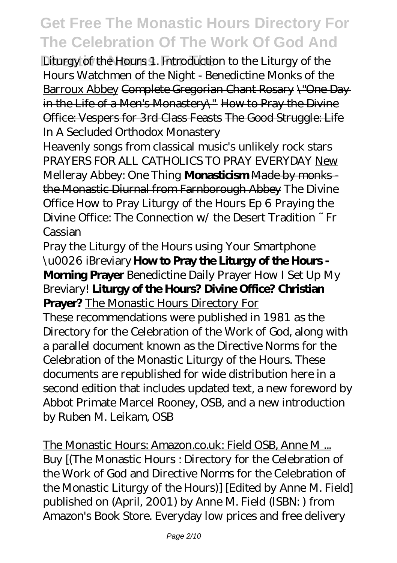**Directive Norms For The** Liturgy of the Hours *1. Introduction to the Liturgy of the Hours* Watchmen of the Night - Benedictine Monks of the Barroux Abbey Complete Gregorian Chant Rosary \"One Day in the Life of a Men's Monastery\" How to Pray the Divine Office: Vespers for 3rd Class Feasts The Good Struggle: Life In A Secluded Orthodox Monastery

Heavenly songs from classical music's unlikely rock stars PRAYERS FOR ALL CATHOLICS TO PRAY EVERYDAY New Melleray Abbey: One Thing **Monasticism Made by monks** the Monastic Diurnal from Farnborough Abbey The Divine Office *How to Pray Liturgy of the Hours Ep 6 Praying the Divine Office: The Connection w/ the Desert Tradition ~ Fr Cassian*

Pray the Liturgy of the Hours using Your Smartphone \u0026 iBreviary **How to Pray the Liturgy of the Hours - Morning Prayer** *Benedictine Daily Prayer How I Set Up My Breviary!* **Liturgy of the Hours? Divine Office? Christian Prayer?** The Monastic Hours Directory For

These recommendations were published in 1981 as the Directory for the Celebration of the Work of God, along with a parallel document known as the Directive Norms for the Celebration of the Monastic Liturgy of the Hours. These documents are republished for wide distribution here in a second edition that includes updated text, a new foreword by Abbot Primate Marcel Rooney, OSB, and a new introduction by Ruben M. Leikam, OSB

The Monastic Hours: Amazon.co.uk: Field OSB, Anne M ... Buy [(The Monastic Hours : Directory for the Celebration of the Work of God and Directive Norms for the Celebration of the Monastic Liturgy of the Hours)] [Edited by Anne M. Field] published on (April, 2001) by Anne M. Field (ISBN: ) from Amazon's Book Store. Everyday low prices and free delivery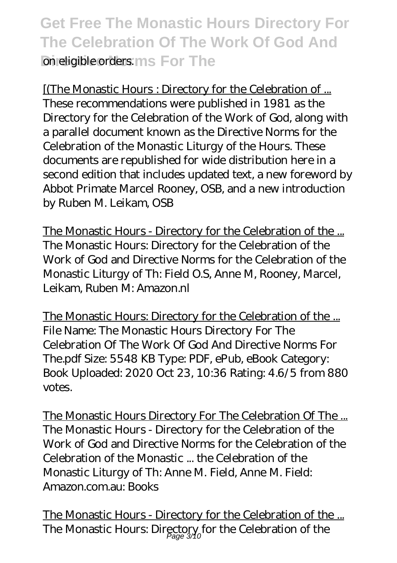### **Get Free The Monastic Hours Directory For The Celebration Of The Work Of God And Directive Inc.** For The

[(The Monastic Hours : Directory for the Celebration of ... These recommendations were published in 1981 as the Directory for the Celebration of the Work of God, along with a parallel document known as the Directive Norms for the Celebration of the Monastic Liturgy of the Hours. These documents are republished for wide distribution here in a second edition that includes updated text, a new foreword by Abbot Primate Marcel Rooney, OSB, and a new introduction by Ruben M. Leikam, OSB

The Monastic Hours - Directory for the Celebration of the ... The Monastic Hours: Directory for the Celebration of the Work of God and Directive Norms for the Celebration of the Monastic Liturgy of Th: Field O.S, Anne M, Rooney, Marcel, Leikam, Ruben M: Amazon.nl

The Monastic Hours: Directory for the Celebration of the ... File Name: The Monastic Hours Directory For The Celebration Of The Work Of God And Directive Norms For The.pdf Size: 5548 KB Type: PDF, ePub, eBook Category: Book Uploaded: 2020 Oct 23, 10:36 Rating: 4.6/5 from 880 votes.

The Monastic Hours Directory For The Celebration Of The ... The Monastic Hours - Directory for the Celebration of the Work of God and Directive Norms for the Celebration of the Celebration of the Monastic ... the Celebration of the Monastic Liturgy of Th: Anne M. Field, Anne M. Field: Amazon.com.au: Books

The Monastic Hours - Directory for the Celebration of the ... The Monastic Hours: Directory for the Celebration of the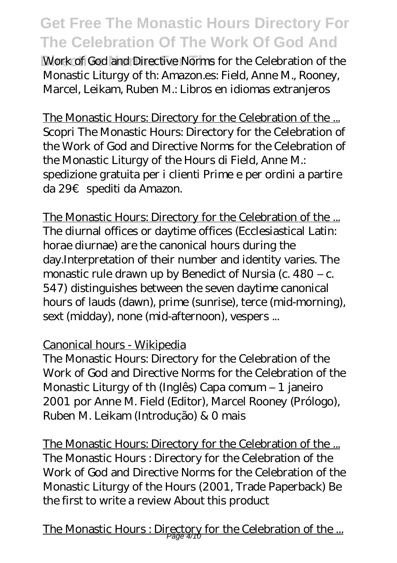**Work of God and Directive Norms for the Celebration of the** Monastic Liturgy of th: Amazon.es: Field, Anne M., Rooney, Marcel, Leikam, Ruben M.: Libros en idiomas extranjeros

The Monastic Hours: Directory for the Celebration of the ... Scopri The Monastic Hours: Directory for the Celebration of the Work of God and Directive Norms for the Celebration of the Monastic Liturgy of the Hours di Field, Anne M.: spedizione gratuita per i clienti Prime e per ordini a partire da 29€ spediti da Amazon.

The Monastic Hours: Directory for the Celebration of the ... The diurnal offices or daytime offices (Ecclesiastical Latin: horae diurnae) are the canonical hours during the day.Interpretation of their number and identity varies. The monastic rule drawn up by Benedict of Nursia (c. 480 – c. 547) distinguishes between the seven daytime canonical hours of lauds (dawn), prime (sunrise), terce (mid-morning), sext (midday), none (mid-afternoon), vespers ...

#### Canonical hours - Wikipedia

The Monastic Hours: Directory for the Celebration of the Work of God and Directive Norms for the Celebration of the Monastic Liturgy of th (Inglês) Capa comum – 1 janeiro 2001 por Anne M. Field (Editor), Marcel Rooney (Prólogo), Ruben M. Leikam (Introdução) & 0 mais

The Monastic Hours: Directory for the Celebration of the ... The Monastic Hours : Directory for the Celebration of the Work of God and Directive Norms for the Celebration of the Monastic Liturgy of the Hours (2001, Trade Paperback) Be the first to write a review About this product

The Monastic Hours : Directory for the Celebration of the ...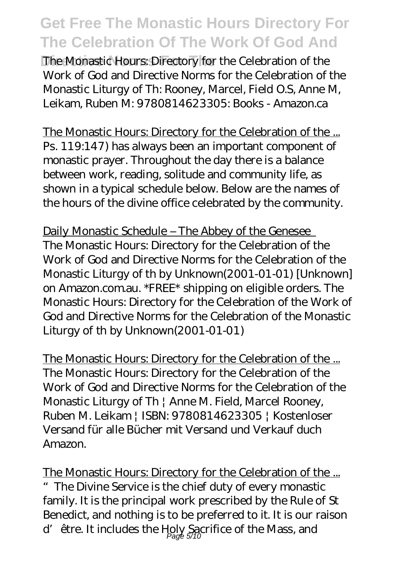The Monastic Hours: Directory for the Celebration of the Work of God and Directive Norms for the Celebration of the Monastic Liturgy of Th: Rooney, Marcel, Field O.S, Anne M, Leikam, Ruben M: 9780814623305: Books - Amazon.ca

The Monastic Hours: Directory for the Celebration of the ... Ps. 119:147) has always been an important component of monastic prayer. Throughout the day there is a balance between work, reading, solitude and community life, as shown in a typical schedule below. Below are the names of the hours of the divine office celebrated by the community.

Daily Monastic Schedule – The Abbey of the Genesee The Monastic Hours: Directory for the Celebration of the Work of God and Directive Norms for the Celebration of the Monastic Liturgy of th by Unknown(2001-01-01) [Unknown] on Amazon.com.au. \*FREE\* shipping on eligible orders. The Monastic Hours: Directory for the Celebration of the Work of God and Directive Norms for the Celebration of the Monastic Liturgy of th by Unknown(2001-01-01)

The Monastic Hours: Directory for the Celebration of the ... The Monastic Hours: Directory for the Celebration of the Work of God and Directive Norms for the Celebration of the Monastic Liturgy of Th | Anne M. Field, Marcel Rooney, Ruben M. Leikam | ISBN: 9780814623305 | Kostenloser Versand für alle Bücher mit Versand und Verkauf duch Amazon.

The Monastic Hours: Directory for the Celebration of the ... The Divine Service is the chief duty of every monastic family. It is the principal work prescribed by the Rule of St Benedict, and nothing is to be preferred to it. It is our raison d' être. It includes the Holy Sacrifice of the Mass, and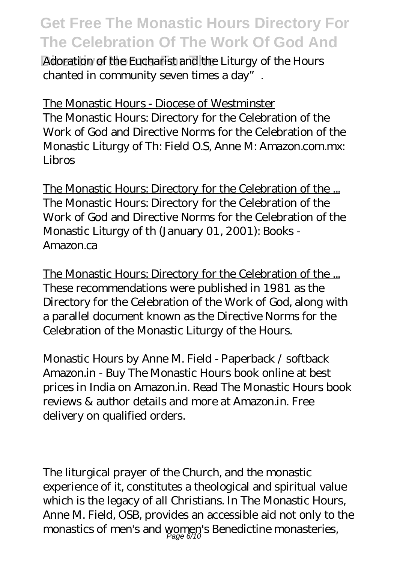Adoration of the Eucharist and the Liturgy of the Hours chanted in community seven times a day".

The Monastic Hours - Diocese of Westminster The Monastic Hours: Directory for the Celebration of the Work of God and Directive Norms for the Celebration of the Monastic Liturgy of Th: Field O.S, Anne M: Amazon.com.mx: Libros

The Monastic Hours: Directory for the Celebration of the ... The Monastic Hours: Directory for the Celebration of the Work of God and Directive Norms for the Celebration of the Monastic Liturgy of th (January 01, 2001): Books - Amazon.ca

The Monastic Hours: Directory for the Celebration of the ... These recommendations were published in 1981 as the Directory for the Celebration of the Work of God, along with a parallel document known as the Directive Norms for the Celebration of the Monastic Liturgy of the Hours.

Monastic Hours by Anne M. Field - Paperback / softback Amazon.in - Buy The Monastic Hours book online at best prices in India on Amazon.in. Read The Monastic Hours book reviews & author details and more at Amazon.in. Free delivery on qualified orders.

The liturgical prayer of the Church, and the monastic experience of it, constitutes a theological and spiritual value which is the legacy of all Christians. In The Monastic Hours, Anne M. Field, OSB, provides an accessible aid not only to the monastics of men's and women's Benedictine monasteries, Page 6/10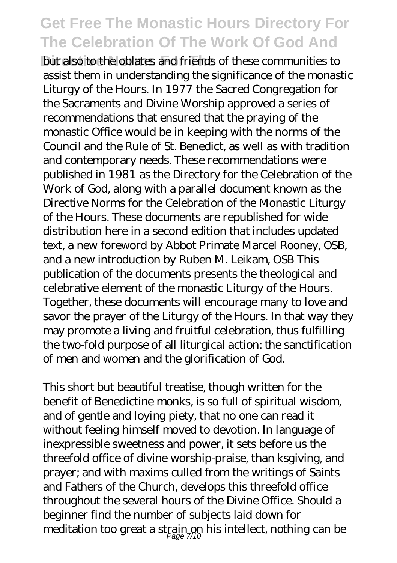**Dut also to the oblates and friends of these communities to** assist them in understanding the significance of the monastic Liturgy of the Hours. In 1977 the Sacred Congregation for the Sacraments and Divine Worship approved a series of recommendations that ensured that the praying of the monastic Office would be in keeping with the norms of the Council and the Rule of St. Benedict, as well as with tradition and contemporary needs. These recommendations were published in 1981 as the Directory for the Celebration of the Work of God, along with a parallel document known as the Directive Norms for the Celebration of the Monastic Liturgy of the Hours. These documents are republished for wide distribution here in a second edition that includes updated text, a new foreword by Abbot Primate Marcel Rooney, OSB, and a new introduction by Ruben M. Leikam, OSB This publication of the documents presents the theological and celebrative element of the monastic Liturgy of the Hours. Together, these documents will encourage many to love and savor the prayer of the Liturgy of the Hours. In that way they may promote a living and fruitful celebration, thus fulfilling the two-fold purpose of all liturgical action: the sanctification of men and women and the glorification of God.

This short but beautiful treatise, though written for the benefit of Benedictine monks, is so full of spiritual wisdom, and of gentle and loying piety, that no one can read it without feeling himself moved to devotion. In language of inexpressible sweetness and power, it sets before us the threefold office of divine worship-praise, than ksgiving, and prayer; and with maxims culled from the writings of Saints and Fathers of the Church, develops this threefold office throughout the several hours of the Divine Office. Should a beginner find the number of subjects laid down for meditation too great a strain on his intellect, nothing can be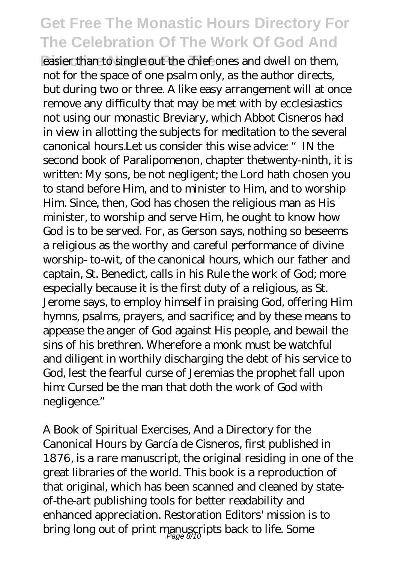easier than to single out the chief ones and dwell on them, not for the space of one psalm only, as the author directs, but during two or three. A like easy arrangement will at once remove any difficulty that may be met with by ecclesiastics not using our monastic Breviary, which Abbot Cisneros had in view in allotting the subjects for meditation to the several canonical hours.Let us consider this wise advice: "IN the second book of Paralipomenon, chapter thetwenty-ninth, it is written: My sons, be not negligent; the Lord hath chosen you to stand before Him, and to minister to Him, and to worship Him. Since, then, God has chosen the religious man as His minister, to worship and serve Him, he ought to know how God is to be served. For, as Gerson says, nothing so beseems a religious as the worthy and careful performance of divine worship- to-wit, of the canonical hours, which our father and captain, St. Benedict, calls in his Rule the work of God; more especially because it is the first duty of a religious, as St. Jerome says, to employ himself in praising God, offering Him hymns, psalms, prayers, and sacrifice; and by these means to appease the anger of God against His people, and bewail the sins of his brethren. Wherefore a monk must be watchful and diligent in worthily discharging the debt of his service to God, lest the fearful curse of Jeremias the prophet fall upon him: Cursed be the man that doth the work of God with negligence."

A Book of Spiritual Exercises, And a Directory for the Canonical Hours by García de Cisneros, first published in 1876, is a rare manuscript, the original residing in one of the great libraries of the world. This book is a reproduction of that original, which has been scanned and cleaned by stateof-the-art publishing tools for better readability and enhanced appreciation. Restoration Editors' mission is to bring long out of print manuscripts back to life. Some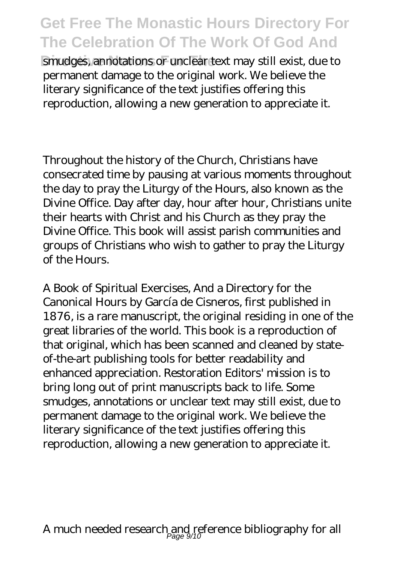smudges, annotations or unclear text may still exist, due to permanent damage to the original work. We believe the literary significance of the text justifies offering this reproduction, allowing a new generation to appreciate it.

Throughout the history of the Church, Christians have consecrated time by pausing at various moments throughout the day to pray the Liturgy of the Hours, also known as the Divine Office. Day after day, hour after hour, Christians unite their hearts with Christ and his Church as they pray the Divine Office. This book will assist parish communities and groups of Christians who wish to gather to pray the Liturgy of the Hours.

A Book of Spiritual Exercises, And a Directory for the Canonical Hours by García de Cisneros, first published in 1876, is a rare manuscript, the original residing in one of the great libraries of the world. This book is a reproduction of that original, which has been scanned and cleaned by stateof-the-art publishing tools for better readability and enhanced appreciation. Restoration Editors' mission is to bring long out of print manuscripts back to life. Some smudges, annotations or unclear text may still exist, due to permanent damage to the original work. We believe the literary significance of the text justifies offering this reproduction, allowing a new generation to appreciate it.